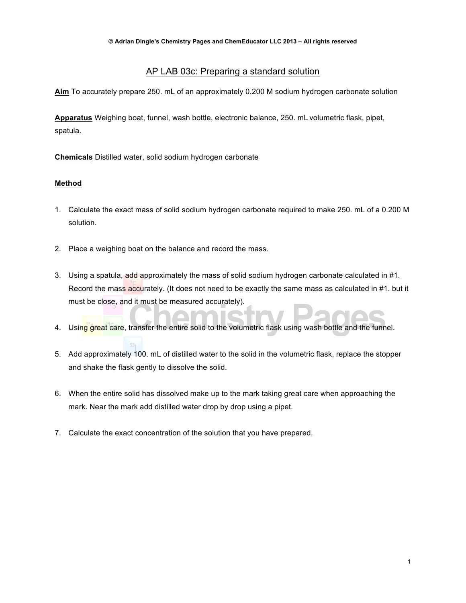# AP LAB 03c: Preparing a standard solution

**Aim** To accurately prepare 250. mL of an approximately 0.200 M sodium hydrogen carbonate solution

**Apparatus** Weighing boat, funnel, wash bottle, electronic balance, 250. mL volumetric flask, pipet, spatula.

**Chemicals** Distilled water, solid sodium hydrogen carbonate

# **Method**

- 1. Calculate the exact mass of solid sodium hydrogen carbonate required to make 250. mL of a 0.200 M solution.
- 2. Place a weighing boat on the balance and record the mass.
- 3. Using a spatula, add approximately the mass of solid sodium hydrogen carbonate calculated in #1. Record the mass accurately. (It does not need to be exactly the same mass as calculated in #1. but it must be close, and it must be measured accurately).
- 4. Using great care, transfer the entire solid to the volumetric flask using wash bottle and the funnel.
- 5. Add approximately 100. mL of distilled water to the solid in the volumetric flask, replace the stopper and shake the flask gently to dissolve the solid.
- 6. When the entire solid has dissolved make up to the mark taking great care when approaching the mark. Near the mark add distilled water drop by drop using a pipet.
- 7. Calculate the exact concentration of the solution that you have prepared.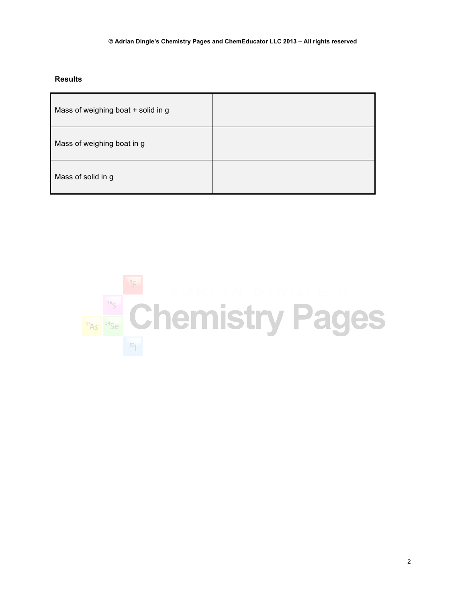## **Results**

| Mass of weighing boat + solid in g |  |
|------------------------------------|--|
| Mass of weighing boat in g         |  |
| Mass of solid in g                 |  |